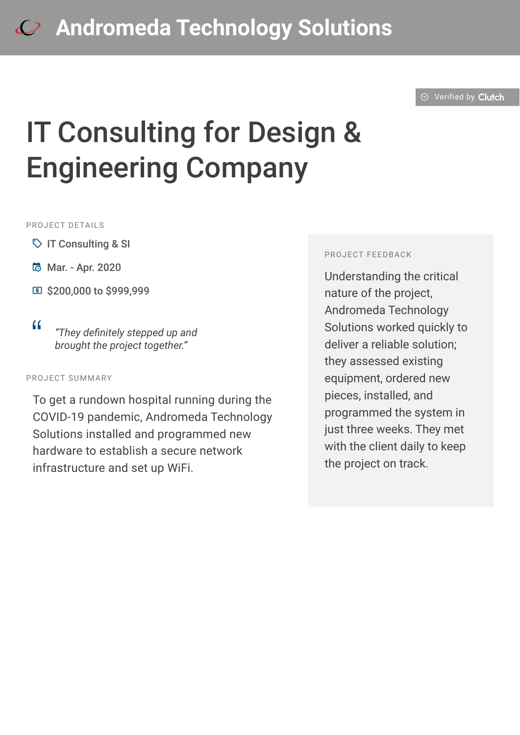## **[A](https://clutch.co/profile/andromeda-technology-solutions?utm_source=case_studies&utm_medium=logo)ndromeda Technology Solutions**

 $\odot$  [Verified by](https://clutch.co?utm_source=case_studies&utm_medium=verified_by_clutch) Clutch

# IT Consulting for Design & Engineering Company

#### PROJECT DETAILS

- $\heartsuit$  IT Consulting & SI
- B Mar. Apr. 2020
- **国 \$200,000 to \$999,999**

<sup>D</sup> *"They definitely stepped up and brought the project together."*

#### PROJECT SUMMARY

To get a rundown hospital running during the COVID-19 pandemic, Andromeda Technology Solutions installed and programmed new hardware to establish a secure network infrastructure and set up WiFi.

#### PROJECT FEEDBACK

Understanding the critical nature of the project, Andromeda Technology Solutions worked quickly to deliver a reliable solution; they assessed existing equipment, ordered new pieces, installed, and programmed the system in just three weeks. They met with the client daily to keep the project on track.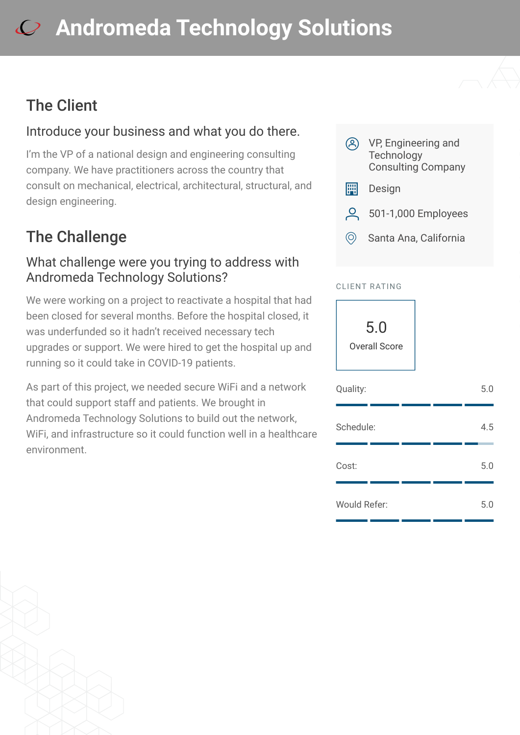## **[A](https://clutch.co/profile/andromeda-technology-solutions?utm_source=case_studies&utm_medium=logo)ndromeda Technology Solutions**

### The Client

#### Introduce your business and what you do there.

I'm the VP of a national design and engineering consulting company. We have practitioners across the country that consult on mechanical, electrical, architectural, structural, and design engineering.

## The Challenge

#### What challenge were you trying to address with Andromeda Technology Solutions?

We were working on a project to reactivate a hospital that had been closed for several months. Before the hospital closed, it was underfunded so it hadn't received necessary tech upgrades or support. We were hired to get the hospital up and running so it could take in COVID-19 patients.

As part of this project, we needed secure WiFi and a network that could support staff and patients. We brought in Andromeda Technology Solutions to build out the network, WiFi, and infrastructure so it could function well in a healthcare environment.



- **E Design**
- **Q** 501-1,000 Employees
- $\circledcirc$  Santa Ana, California

#### CLIENT RATING

5.0 Overall Score

| Quality:            |  | 5.0 |
|---------------------|--|-----|
| Schedule:           |  | 4.5 |
| Cost:               |  | 5.0 |
| <b>Would Refer:</b> |  | 5.0 |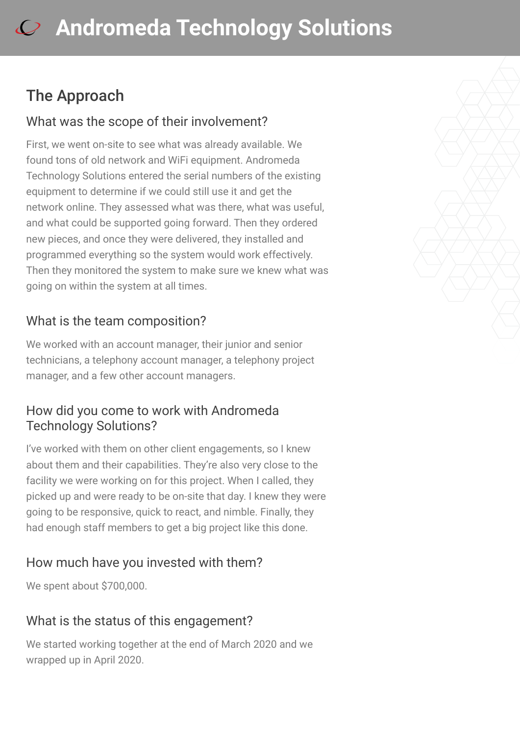### The Approach

#### What was the scope of their involvement?

First, we went on-site to see what was already available. We found tons of old network and WiFi equipment. Andromeda Technology Solutions entered the serial numbers of the existing equipment to determine if we could still use it and get the network online. They assessed what was there, what was useful, and what could be supported going forward. Then they ordered new pieces, and once they were delivered, they installed and programmed everything so the system would work effectively. Then they monitored the system to make sure we knew what was going on within the system at all times.

#### What is the team composition?

We worked with an account manager, their junior and senior technicians, a telephony account manager, a telephony project manager, and a few other account managers.

#### How did you come to work with Andromeda Technology Solutions?

I've worked with them on other client engagements, so I knew about them and their capabilities. They're also very close to the facility we were working on for this project. When I called, they picked up and were ready to be on-site that day. I knew they were going to be responsive, quick to react, and nimble. Finally, they had enough staff members to get a big project like this done.

#### How much have you invested with them?

We spent about \$700,000.

#### What is the status of this engagement?

We started working together at the end of March 2020 and we wrapped up in April 2020.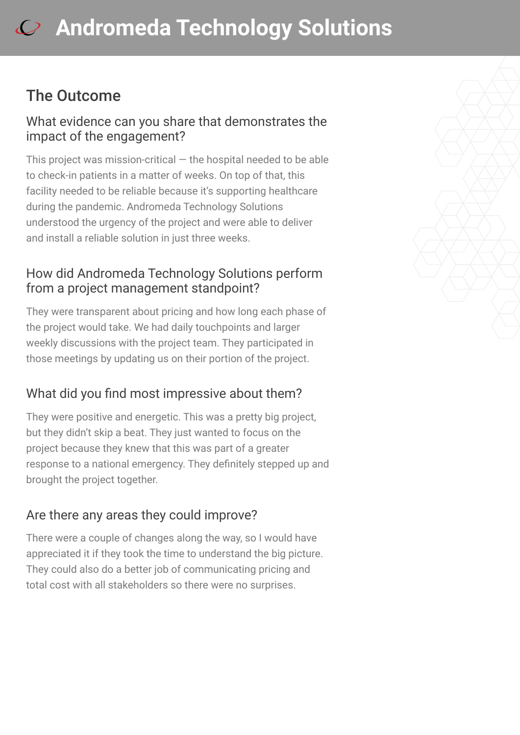### The Outcome

#### What evidence can you share that demonstrates the impact of the engagement?

This project was mission-critical  $-$  the hospital needed to be able to check-in patients in a matter of weeks. On top of that, this facility needed to be reliable because it's supporting healthcare during the pandemic. Andromeda Technology Solutions understood the urgency of the project and were able to deliver and install a reliable solution in just three weeks.

#### How did Andromeda Technology Solutions perform from a project management standpoint?

They were transparent about pricing and how long each phase of the project would take. We had daily touchpoints and larger weekly discussions with the project team. They participated in those meetings by updating us on their portion of the project.

#### What did you find most impressive about them?

They were positive and energetic. This was a pretty big project, but they didn't skip a beat. They just wanted to focus on the project because they knew that this was part of a greater response to a national emergency. They definitely stepped up and brought the project together.

#### Are there any areas they could improve?

There were a couple of changes along the way, so I would have appreciated it if they took the time to understand the big picture. They could also do a better job of communicating pricing and total cost with all stakeholders so there were no surprises.